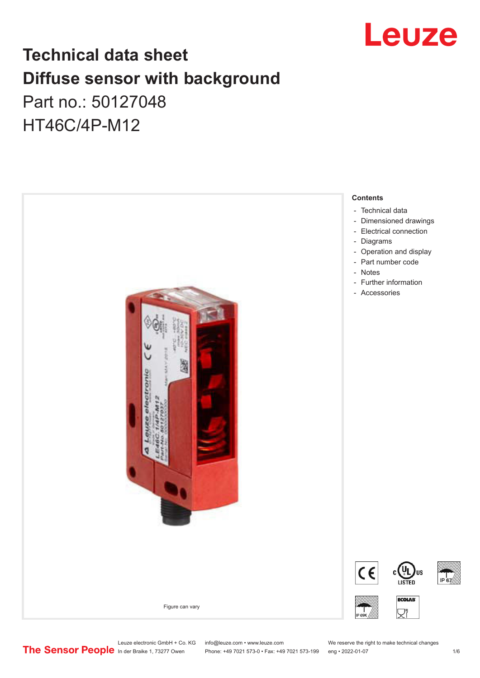

## **Technical data sheet Diffuse sensor with background**  Part no.: 50127048 HT46C/4P-M12



Leuze electronic GmbH + Co. KG info@leuze.com • www.leuze.com We reserve the right to make technical changes<br>
The Sensor People in der Braike 1, 73277 Owen Phone: +49 7021 573-0 • Fax: +49 7021 573-199 eng • 2022-01-07

Phone: +49 7021 573-0 • Fax: +49 7021 573-199 eng • 2022-01-07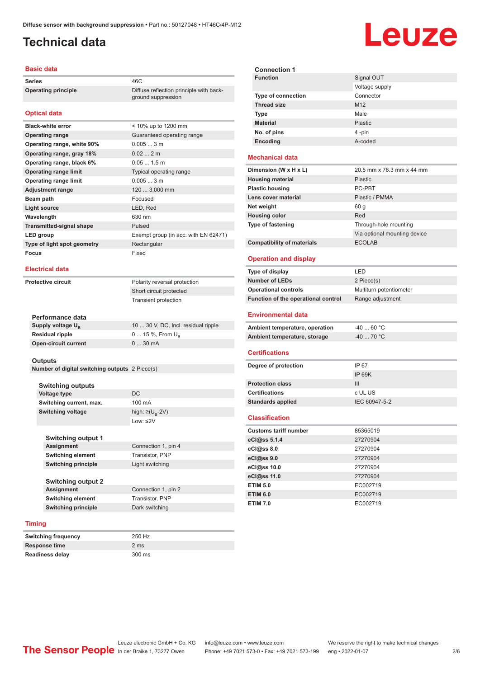ground suppression

### <span id="page-1-0"></span>**Technical data**

#### **Basic data**

Series 46C **Operating principle** Diffuse reflection principle with back-

### **Optical data**

| < 10% up to 1200 mm                  |
|--------------------------------------|
| Guaranteed operating range           |
| 0.0053m                              |
| 0.022m                               |
| $0.051.5$ m                          |
| Typical operating range              |
| 0.0053m                              |
| 120  3,000 mm                        |
| Focused                              |
| LED, Red                             |
| 630 nm                               |
| Pulsed                               |
| Exempt group (in acc. with EN 62471) |
| Rectangular                          |
| Fixed                                |
|                                      |

#### **Electrical data**

**Protective circuit** Polarity reversal protection

Short circuit protected Transient protection

| Performance data              |                                     |
|-------------------------------|-------------------------------------|
| Supply voltage U <sub>n</sub> | 10  30 V, DC, Incl. residual ripple |
| Residual ripple               | $0 15 \%$ , From $U_{p}$            |
| Open-circuit current          | $030$ mA                            |

#### **Outputs**

**Number of digital switching outputs** 2 Piece(s)

| <b>Switching outputs</b> |                                   |
|--------------------------|-----------------------------------|
| Voltage type             | DC.                               |
| Switching current, max.  | 100 mA                            |
| <b>Switching voltage</b> | high: $\geq$ (U <sub>p</sub> -2V) |
|                          | Low: $\leq$ 2V                    |

| Switching output 1         |                     |
|----------------------------|---------------------|
| <b>Assignment</b>          | Connection 1, pin 4 |
| <b>Switching element</b>   | Transistor, PNP     |
| <b>Switching principle</b> | Light switching     |
| <b>Switching output 2</b>  |                     |
| <b>Assignment</b>          | Connection 1, pin 2 |
| <b>Switching element</b>   | Transistor, PNP     |
| <b>Switching principle</b> | Dark switching      |
|                            |                     |

#### **Timing**

| <b>Switching frequency</b> | 250 Hz           |
|----------------------------|------------------|
| Response time              | 2 ms             |
| <b>Readiness delay</b>     | $300 \text{ ms}$ |

| <b>Connection 1</b>       |                 |
|---------------------------|-----------------|
| <b>Function</b>           | Signal OUT      |
|                           | Voltage supply  |
| <b>Type of connection</b> | Connector       |
| <b>Thread size</b>        | M <sub>12</sub> |
| Type                      | Male            |
| <b>Material</b>           | Plastic         |
| No. of pins               | 4-pin           |
| Encoding                  | A-coded         |
|                           |                 |

### **Mechanical data**

| Dimension (W x H x L)             | 20.5 mm x 76.3 mm x 44 mm    |
|-----------------------------------|------------------------------|
| <b>Housing material</b>           | <b>Plastic</b>               |
| <b>Plastic housing</b>            | PC-PBT                       |
| Lens cover material               | Plastic / PMMA               |
| Net weight                        | 60 q                         |
| <b>Housing color</b>              | Red                          |
| <b>Type of fastening</b>          | Through-hole mounting        |
|                                   | Via optional mounting device |
| <b>Compatibility of materials</b> | <b>ECOLAB</b>                |

#### **Operation and display**

| Type of display                     | I FD                    |
|-------------------------------------|-------------------------|
| <b>Number of LEDs</b>               | 2 Piece(s)              |
| <b>Operational controls</b>         | Multiturn potentiometer |
| Function of the operational control | Range adjustment        |
|                                     |                         |

#### **Environmental data**

| Ambient temperature, operation | -40  60 °C |
|--------------------------------|------------|
| Ambient temperature, storage   | -40  70 °C |

#### **Certifications**

| Degree of protection     | IP 67         |
|--------------------------|---------------|
|                          | IP 69K        |
| <b>Protection class</b>  | Ш             |
| <b>Certifications</b>    | c UL US       |
| <b>Standards applied</b> | IEC 60947-5-2 |
|                          |               |

#### **Classification**

| <b>Customs tariff number</b> | 85365019 |
|------------------------------|----------|
| eCl@ss 5.1.4                 | 27270904 |
| $eC/\omega$ ss 8.0           | 27270904 |
| eCl@ss 9.0                   | 27270904 |
| eCl@ss 10.0                  | 27270904 |
| eCl@ss 11.0                  | 27270904 |
| <b>ETIM 5.0</b>              | EC002719 |
| <b>ETIM 6.0</b>              | EC002719 |
| <b>ETIM 7.0</b>              | EC002719 |

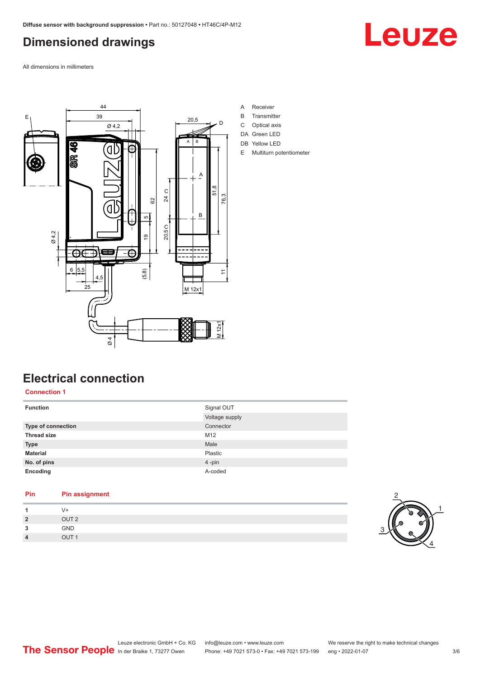### <span id="page-2-0"></span>**Dimensioned drawings**

Leuze

All dimensions in millimeters



- A Receiver
- B Transmitter
- C Optical axis
- DA Green LED
- DB Yellow LED
- E Multiturn potentiometer

### **Electrical connection**

### **Connection 1**

| <b>Function</b>    | Signal OUT     |
|--------------------|----------------|
|                    | Voltage supply |
| Type of connection | Connector      |
| <b>Thread size</b> | M12            |
| <b>Type</b>        | Male           |
| <b>Material</b>    | Plastic        |
| No. of pins        | $4 - pin$      |
| Encoding           | A-coded        |

#### **Pin Pin assignment**

| 1              | V+               |         |
|----------------|------------------|---------|
| $\overline{2}$ | OUT <sub>2</sub> |         |
| 3              | GND              | ◠<br>ັບ |
| $\overline{4}$ | OUT <sub>1</sub> |         |

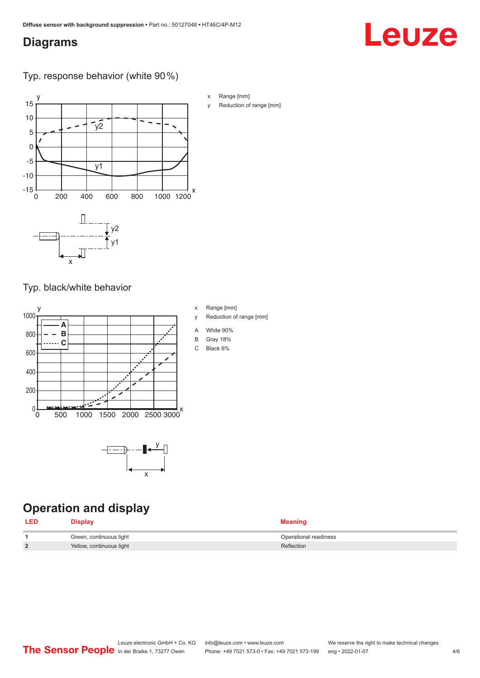### <span id="page-3-0"></span>**Diagrams**

# Leuze

Typ. response behavior (white 90 %)



Typ. black/white behavior



x

### **Operation and display**

| <b>LED</b> | Display                  | <b>Meaning</b>        |
|------------|--------------------------|-----------------------|
|            | Green, continuous light  | Operational readiness |
| 2          | Yellow, continuous light | Reflection            |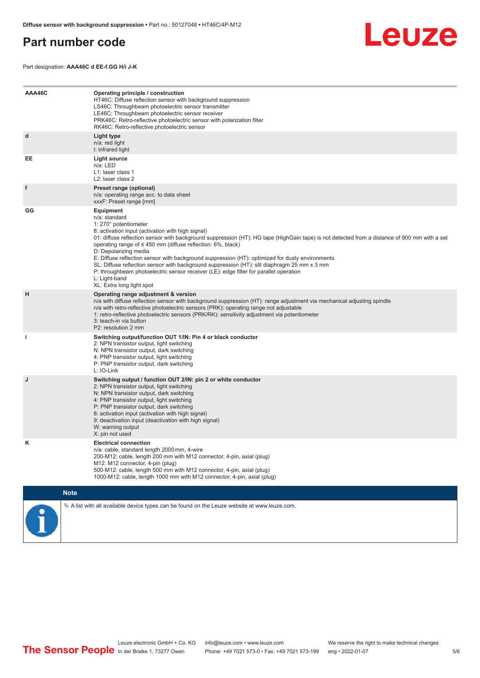### <span id="page-4-0"></span>**Part number code**



Part designation: **AAA46C d EE-f.GG H/i J-K**

| AAA46C | Operating principle / construction<br>HT46C: Diffuse reflection sensor with background suppression<br>LS46C: Throughbeam photoelectric sensor transmitter<br>LE46C: Throughbeam photoelectric sensor receiver<br>PRK46C: Retro-reflective photoelectric sensor with polarization filter<br>RK46C: Retro-reflective photoelectric sensor                                                                                                                                                                                                                                                                                                                                                        |  |  |  |
|--------|------------------------------------------------------------------------------------------------------------------------------------------------------------------------------------------------------------------------------------------------------------------------------------------------------------------------------------------------------------------------------------------------------------------------------------------------------------------------------------------------------------------------------------------------------------------------------------------------------------------------------------------------------------------------------------------------|--|--|--|
| d      | Light type<br>n/a: red light<br>I: infrared light                                                                                                                                                                                                                                                                                                                                                                                                                                                                                                                                                                                                                                              |  |  |  |
| EE     | <b>Light source</b><br>n/a: LED<br>L1: laser class 1<br>L <sub>2</sub> : laser class 2                                                                                                                                                                                                                                                                                                                                                                                                                                                                                                                                                                                                         |  |  |  |
| f      | Preset range (optional)<br>n/a: operating range acc. to data sheet<br>xxxF: Preset range [mm]                                                                                                                                                                                                                                                                                                                                                                                                                                                                                                                                                                                                  |  |  |  |
| GG     | Equipment<br>n/a: standard<br>1: 270° potentiometer<br>8: activation input (activation with high signal)<br>01: diffuse reflection sensor with background suppression (HT): HG tape (HighGain tape) is not detected from a distance of 900 mm with a set<br>operating range of $\leq$ 450 mm (diffuse reflection: 6%, black)<br>D: Depolarizing media<br>E: Diffuse reflection sensor with background suppression (HT): optimized for dusty environments<br>SL: Diffuse reflection sensor with background suppression (HT): slit diaphragm 25 mm x 3 mm<br>P: throughbeam photoelectric sensor receiver (LE): edge filter for parallel operation<br>L: Light-band<br>XL: Extra long light spot |  |  |  |
| H      | Operating range adjustment & version<br>n/a with diffuse reflection sensor with background suppression (HT): range adjustment via mechanical adjusting spindle<br>n/a with retro-reflective photoelectric sensors (PRK): operating range not adjustable<br>1: retro-reflective photoelectric sensors (PRK/RK): sensitivity adjustment via potentiometer<br>3: teach-in via button<br>P2: resolution 2 mm                                                                                                                                                                                                                                                                                       |  |  |  |
| j.     | Switching output/function OUT 1/IN: Pin 4 or black conductor<br>2: NPN transistor output, light switching<br>N: NPN transistor output, dark switching<br>4: PNP transistor output, light switching<br>P: PNP transistor output, dark switching<br>L: IO-Link                                                                                                                                                                                                                                                                                                                                                                                                                                   |  |  |  |
| J      | Switching output / function OUT 2/IN: pin 2 or white conductor<br>2: NPN transistor output, light switching<br>N: NPN transistor output, dark switching<br>4: PNP transistor output, light switching<br>P: PNP transistor output, dark switching<br>8: activation input (activation with high signal)<br>9: deactivation input (deactivation with high signal)<br>W: warning output<br>X: pin not used                                                                                                                                                                                                                                                                                         |  |  |  |
| Κ      | <b>Electrical connection</b><br>n/a: cable, standard length 2000 mm, 4-wire<br>200-M12: cable, length 200 mm with M12 connector, 4-pin, axial (plug)<br>M12: M12 connector, 4-pin (plug)<br>500-M12: cable, length 500 mm with M12 connector, 4-pin, axial (plug)<br>1000-M12: cable, length 1000 mm with M12 connector, 4-pin, axial (plug)                                                                                                                                                                                                                                                                                                                                                   |  |  |  |
|        | <b>Note</b>                                                                                                                                                                                                                                                                                                                                                                                                                                                                                                                                                                                                                                                                                    |  |  |  |
|        | $\&$ A list with all available device types can be found on the Leuze website at www.leuze.com.                                                                                                                                                                                                                                                                                                                                                                                                                                                                                                                                                                                                |  |  |  |